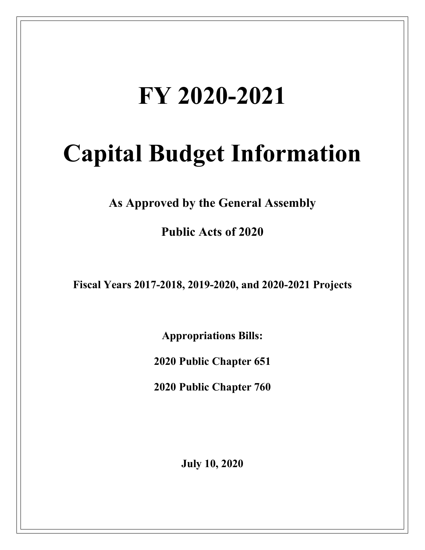# **FY 2020-2021**

# **Capital Budget Information**

**As Approved by the General Assembly**

**Public Acts of 2020**

**Fiscal Years 2017-2018, 2019-2020, and 2020-2021 Projects**

**Appropriations Bills:** 

**2020 Public Chapter 651**

**2020 Public Chapter 760**

**July 10, 2020**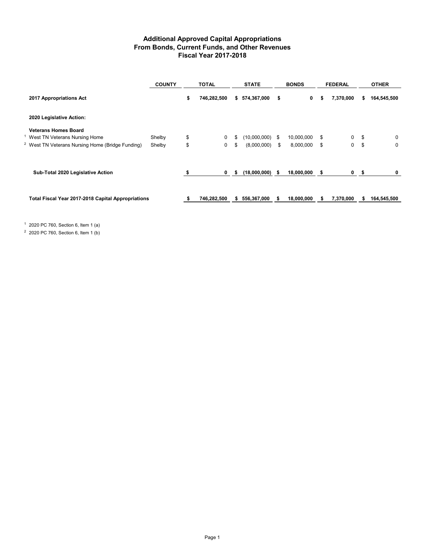## **Additional Approved Capital Appropriations From Bonds, Current Funds, and Other Revenues Fiscal Year 2017-2018**

|                                                             | <b>COUNTY</b> | <b>TOTAL</b> |             | <b>STATE</b> |               |     | <b>BONDS</b> |    | <b>FEDERAL</b> | <b>OTHER</b> |             |  |
|-------------------------------------------------------------|---------------|--------------|-------------|--------------|---------------|-----|--------------|----|----------------|--------------|-------------|--|
| 2017 Appropriations Act                                     |               | \$           | 746,282,500 |              | \$574,367,000 | \$  | 0            | s  | 7,370,000      | s            | 164,545,500 |  |
| 2020 Legislative Action:                                    |               |              |             |              |               |     |              |    |                |              |             |  |
| <b>Veterans Homes Board</b>                                 |               |              |             |              |               |     |              |    |                |              |             |  |
| West TN Veterans Nursing Home                               | Shelby        | \$           | 0           | \$           | (10,000,000)  | -\$ | 10,000,000   | \$ | 0              | \$           | 0           |  |
| <sup>2</sup> West TN Veterans Nursing Home (Bridge Funding) | Shelby        | \$           | 0           | \$           | (8,000,000)   | \$  | 8,000,000    | \$ | 0              | \$           | 0           |  |
| Sub-Total 2020 Legislative Action                           |               |              | $\mathbf 0$ | 5            | (18,000,000)  | -S  | 18,000,000   | s. | $\mathbf{0}$   | S            | 0           |  |
|                                                             |               |              |             |              |               |     |              |    |                |              |             |  |
| Total Fiscal Year 2017-2018 Capital Appropriations          |               | ж            | 746,282,500 | s.           | 556,367,000   | s   | 18,000,000   |    | 7,370,000      |              | 164,545,500 |  |

<sup>1</sup> 2020 PC 760, Section 6, Item 1 (a)

<sup>2</sup> 2020 PC 760, Section 6, Item 1 (b)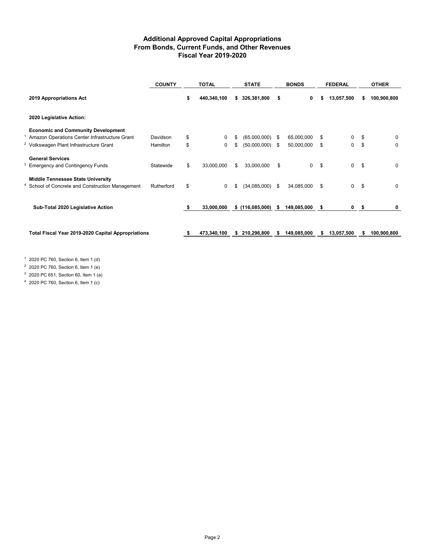## **Additional Approved Capital Appropriations From Bonds, Current Funds, and Other Revenues Fiscal Year 2019-2020**

|                                                    | <b>COUNTY</b> |    | <b>TOTAL</b> |    | <b>STATE</b>    |    | <b>BONDS</b> |    | <b>FEDERAL</b> | <b>OTHER</b>      |
|----------------------------------------------------|---------------|----|--------------|----|-----------------|----|--------------|----|----------------|-------------------|
| 2019 Appropriations Act                            |               | \$ | 440,340,100  |    | \$326,381,800   | \$ | 0            | S  | 13,057,500     | 100,900,800       |
| 2020 Legislative Action:                           |               |    |              |    |                 |    |              |    |                |                   |
| <b>Economic and Community Development</b>          |               |    |              |    |                 |    |              |    |                |                   |
| Amazon Operations Center Infrastructure Grant      | Davidson      | \$ | 0            |    | (65,000,000)    | S  | 65,000,000   | S  | 0              | \$<br>$\Omega$    |
| <sup>2</sup> Volkswagen Plant Infrastructure Grant | Hamilton      | \$ | 0            | \$ | (50,000,000)    | \$ | 50,000,000   | \$ | 0              | \$<br>0           |
| <b>General Services</b>                            |               |    |              |    |                 |    |              |    |                |                   |
| <b>Emergency and Contingency Funds</b>             | Statewide     | \$ | 33,000,000   | \$ | 33,000,000      | \$ | $\Omega$     | \$ | 0              | \$<br>$\mathbf 0$ |
| <b>Middle Tennessee State University</b>           |               |    |              |    |                 |    |              |    |                |                   |
| School of Concrete and Construction Management     | Rutherford    | \$ | $\Omega$     | \$ | (34,085,000)    | \$ | 34,085,000   | \$ | 0              | \$<br>$\mathbf 0$ |
|                                                    |               |    |              |    |                 |    |              |    |                |                   |
| Sub-Total 2020 Legislative Action                  |               | s. | 33,000,000   |    | \$(116,085,000) | \$ | 149,085,000  | \$ | 0 <sup>5</sup> | 0                 |
|                                                    |               |    |              |    |                 |    |              |    |                |                   |
| Total Fiscal Year 2019-2020 Capital Appropriations |               |    | 473,340,100  | S  | 210,296,800     | s  | 149,085,000  |    | 13,057,500     | 100,900,800       |
|                                                    |               |    |              |    |                 |    |              |    |                |                   |

<sup>1</sup> 2020 PC 760, Section 6, Item 1 (d)

<sup>2</sup> 2020 PC 760, Section 6, Item 1 (e)

 $3\,$  2020 PC 651, Section 60, Item 1 (a)

<sup>4</sup> 2020 PC 760, Section 6, Item 1 (c)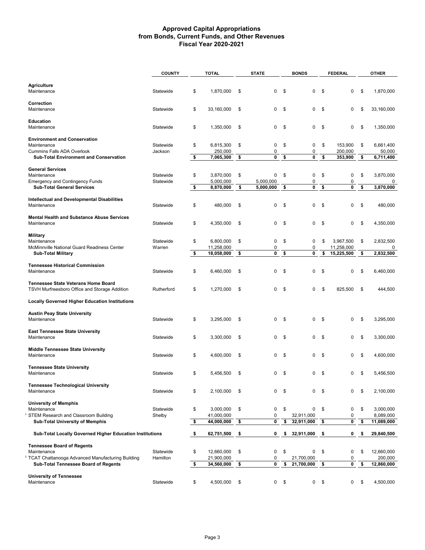### **Approved Capital Appropriations from Bonds, Current Funds, and Other Revenues Fiscal Year 2020-2021**

|                                                                                                 | <b>COUNTY</b>          |      | <b>TOTAL</b>             | <b>STATE</b>  |                | <b>BONDS</b>  |                          | <b>FEDERAL</b> |                          | <b>OTHER</b>                |
|-------------------------------------------------------------------------------------------------|------------------------|------|--------------------------|---------------|----------------|---------------|--------------------------|----------------|--------------------------|-----------------------------|
|                                                                                                 |                        |      |                          |               |                |               |                          |                |                          |                             |
| <b>Agriculture</b><br>Maintenance                                                               | Statewide              | \$   | 1.870.000                | \$            | 0              | \$            | 0                        | \$             | $\mathbf 0$              | \$<br>1,870,000             |
| Correction<br>Maintenance                                                                       | Statewide              | \$   | 33,160,000               | \$            | 0              | \$            | 0                        | \$             | 0                        | \$<br>33,160,000            |
| Education<br>Maintenance                                                                        | Statewide              | \$   | 1,350,000                | \$            | 0              | \$            | 0                        | \$             | 0                        | \$<br>1,350,000             |
| <b>Environment and Conservation</b><br>Maintenance                                              | Statewide              | \$   | 6,815,300                | \$            | 0              | \$            | 0                        | \$             | 153.900                  | \$<br>6,661,400             |
| <b>Cummins Falls ADA Overlook</b><br><b>Sub-Total Environment and Conservation</b>              | Jackson                | \$   | 250,000                  |               | 0<br>0         |               | 0<br>0                   | \$             | 200,000                  | \$<br>50,000<br>6,711,400   |
|                                                                                                 |                        |      | 7,065,300                | \$            |                | \$            |                          |                | 353,900                  |                             |
| <b>General Services</b>                                                                         |                        |      |                          |               |                |               |                          |                |                          |                             |
| Maintenance<br><b>Emergency and Contingency Funds</b>                                           | Statewide<br>Statewide | \$   | 3,870,000<br>5,000,000   | \$            | 0<br>5,000,000 | \$            | 0<br>0                   | \$             | 0<br>0                   | \$<br>3,870,000<br>0        |
| <b>Sub-Total General Services</b>                                                               |                        | \$   | 8,870,000                | \$            | 5,000,000      | \$            | 0                        | \$             | 0                        | \$<br>3,870,000             |
|                                                                                                 |                        |      |                          |               |                |               |                          |                |                          |                             |
| Intellectual and Developmental Disabilities<br>Maintenance                                      | Statewide              | \$   | 480.000                  | \$            | 0              | \$            | 0                        | \$             | 0                        | \$<br>480,000               |
| <b>Mental Health and Substance Abuse Services</b><br>Maintenance                                | Statewide              | \$   | 4,350,000                | \$            | 0              | \$            | 0                        | \$             | 0                        | \$<br>4,350,000             |
| <b>Military</b><br>Maintenance                                                                  | Statewide              | \$   | 6,800,000                | \$            | 0              | \$            | 0                        | \$             | 3,967,500                | \$<br>2,832,500             |
| McMinnville National Guard Readiness Center<br><b>Sub-Total Military</b>                        | Warren                 | \$   | 11,258,000<br>18,058,000 | \$            | 0<br>0         | \$            | 0<br>0                   | \$             | 11,258,000<br>15,225,500 | \$<br>0<br>2,832,500        |
|                                                                                                 |                        |      |                          |               |                |               |                          |                |                          |                             |
| <b>Tennessee Historical Commission</b><br>Maintenance                                           | Statewide              | \$   | 6,460,000                | \$            | 0              | \$            | 0                        | \$             | 0                        | \$<br>6,460,000             |
| <b>Tennessee State Veterans Home Board</b><br>TSVH Murfreesboro Office and Storage Addition     | Rutherford             | \$   | 1,270,000                | \$            | 0              | \$            | 0                        | \$             | 825,500                  | \$<br>444,500               |
| <b>Locally Governed Higher Education Institutions</b>                                           |                        |      |                          |               |                |               |                          |                |                          |                             |
| <b>Austin Peay State University</b><br>Maintenance                                              | Statewide              | \$   | 3,295,000                | \$            | 0              | \$            | 0                        | \$             | 0                        | \$<br>3,295,000             |
| <b>East Tennessee State University</b><br>Maintenance                                           | Statewide              | \$   | 3,300,000                | \$            | 0              | \$            | 0                        | \$             | 0                        | \$<br>3,300,000             |
| <b>Middle Tennessee State University</b><br>Maintenance                                         | Statewide              | \$   | 4,600,000                | \$            | 0              | \$            | 0                        | \$             | 0                        | \$<br>4,600,000             |
| <b>Tennessee State University</b><br>Maintenance                                                | Statewide              | \$   | 5,456,500                | \$            | 0              | \$            | 0                        | S.             | 0                        | \$<br>5,456,500             |
| <b>Tennessee Technological University</b><br>Maintenance                                        | Statewide              | \$   | 2,100,000                | \$            | 0              | -\$           | 0                        | \$             | 0                        | \$<br>2,100,000             |
| <b>University of Memphis</b><br>Maintenance                                                     | Statewide              | \$   | 3,000,000                | \$            | 0              | \$            | 0                        | \$             | 0                        | \$<br>3,000,000             |
| STEM Research and Classroom Building                                                            | Shelby                 |      | 41,000,000               |               | 0              |               | 32,911,000               |                | 0                        | 8,089,000                   |
| Sub-Total University of Memphis                                                                 |                        | \$   | 44,000,000               | \$            | 0              | \$            | 32,911,000               | \$             | 0                        | \$<br>11,089,000            |
| Sub-Total Locally Governed Higher Education Institutions                                        |                        | - \$ | 62,751,500               | \$            | 0              | \$            | 32,911,000               | \$             | 0                        | \$<br>29,840,500            |
| <b>Tennessee Board of Regents</b>                                                               |                        |      |                          |               |                |               |                          |                |                          |                             |
| Maintenance                                                                                     | Statewide              | \$   | 12,660,000               | \$            | 0              | \$            | 0                        | \$             | $\pmb{0}$                | \$<br>12,660,000            |
| <b>TCAT Chattanooga Advanced Manufacturing Building</b><br>Sub-Total Tennessee Board of Regents | Hamilton               | \$   | 21,900,000<br>34,560,000 | \$            | 0<br>0         | \$            | 21,700,000<br>21,700,000 | \$             | $\pmb{0}$<br>0           | \$<br>200,000<br>12,860,000 |
|                                                                                                 |                        |      |                          |               |                |               |                          |                |                          |                             |
| <b>University of Tennessee</b><br>Maintenance                                                   | Statewide              | \$   | 4,500,000                | $\mathfrak s$ | 0              | $\mathfrak s$ | 0                        | \$             | 0                        | \$<br>4,500,000             |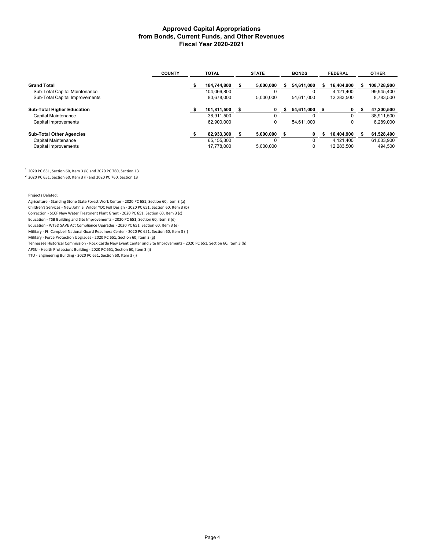#### **Approved Capital Appropriations from Bonds, Current Funds, and Other Revenues Fiscal Year 2020-2021**

|                                   | <b>COUNTY</b> | <b>TOTAL</b> |             | <b>STATE</b> |           | <b>BONDS</b> |            | <b>FEDERAL</b> |            | <b>OTHER</b> |
|-----------------------------------|---------------|--------------|-------------|--------------|-----------|--------------|------------|----------------|------------|--------------|
| <b>Grand Total</b>                |               |              | 184.744.800 |              | 5,000,000 | ж.           | 54,611,000 |                | 16,404,900 | 108,728,900  |
| Sub-Total Capital Maintenance     |               |              | 104.066.800 |              | 0         |              | 0          |                | 4.121.400  | 99,945,400   |
| Sub-Total Capital Improvements    |               |              | 80.678.000  |              | 5.000.000 |              | 54,611,000 |                | 12,283,500 | 8,783,500    |
| <b>Sub-Total Higher Education</b> |               |              | 101,811,500 |              | 0         |              | 54,611,000 |                | 0          | 47,200,500   |
| Capital Maintenance               |               |              | 38.911.500  |              | $\Omega$  |              |            |                | $\Omega$   | 38,911,500   |
| Capital Improvements              |               |              | 62,900,000  |              | 0         |              | 54.611.000 |                | 0          | 8,289,000    |
| <b>Sub-Total Other Agencies</b>   |               |              | 82,933,300  |              | 5.000.000 |              | 0          |                | 16.404.900 | 61,528,400   |
| Capital Maintenance               |               |              | 65.155.300  |              | 0         |              | 0          |                | 4.121.400  | 61,033,900   |
| Capital Improvements              |               |              | 17.778.000  |              | 5,000,000 |              | 0          |                | 12,283,500 | 494,500      |

 $1$  2020 PC 651, Section 60, Item 3 (k) and 2020 PC 760, Section 13

 $2$  2020 PC 651, Section 60, Item 3 (I) and 2020 PC 760, Section 13

Projects Deleted:

Agriculture - Standing Stone State Forest Work Center - 2020 PC 651, Section 60, Item 3 (a) Children's Services - New John S. Wilder YDC Full Design - 2020 PC 651, Section 60, Item 3 (b) Correction - SCCF New Water Treatment Plant Grant - 2020 PC 651, Section 60, Item 3 (c) Education - TSB Building and Site Improvements - 2020 PC 651, Section 60, Item 3 (d) Education - WTSD SAVE Act Compliance Upgrades - 2020 PC 651, Section 60, Item 3 (e) Military - Ft. Campbell National Guard Readiness Center - 2020 PC 651, Section 60, Item 3 (f) Military - Force Protection Upgrades - 2020 PC 651, Section 60, Item 3 (g) Tennessee Historical Commission - Rock Castle New Event Center and Site Improvements - 2020 PC 651, Section 60, Item 3 (h) APSU - Health Professions Building - 2020 PC 651, Section 60, Item 3 (i)

TTU - Engineering Building - 2020 PC 651, Section 60, Item 3 (j)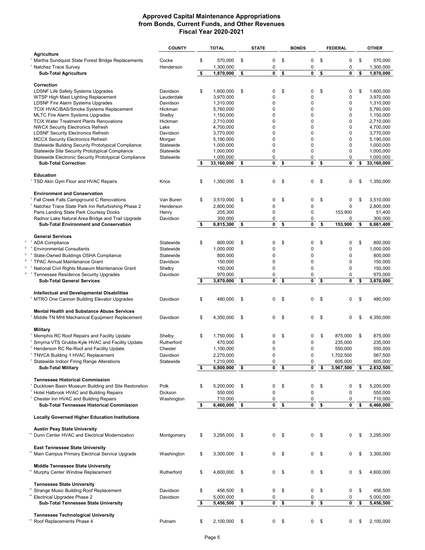#### **Approved Capital Maintenance Appropriations from Bonds, Current Funds, and Other Revenues Fiscal Year 2020-2021**

|                                                                                 | <b>COUNTY</b> |    | <b>TOTAL</b> |      | <b>STATE</b> |                | <b>BONDS</b> |                | <b>FEDERAL</b> |    | <b>OTHER</b> |
|---------------------------------------------------------------------------------|---------------|----|--------------|------|--------------|----------------|--------------|----------------|----------------|----|--------------|
| <b>Agriculture</b>                                                              |               |    |              |      |              |                |              |                |                |    |              |
| Martha Sundquist State Forest Bridge Replacements                               | Cocke         | \$ | 570,000      | \$   | 0            | \$             | 0            | \$             | 0              | \$ | 570,000      |
| <sup>*</sup> Natchez Trace Survey                                               | Henderson     |    | 1,300,000    |      | 0            |                | 0            |                | 0              |    | 1,300,000    |
| <b>Sub-Total Agriculture</b>                                                    |               | \$ | 1,870,000    | \$   | 0            | \$             | 0            | \$             | 0              | \$ | 1,870,000    |
|                                                                                 |               |    |              |      |              |                |              |                |                |    |              |
| Correction<br><b>LDSNF Life Safety Systems Upgrades</b>                         | Davidson      | \$ | 1.600.000    | \$   | 0            | \$             | 0            | \$             | 0              | \$ | 1,600,000    |
|                                                                                 | Lauderdale    |    | 3,970,000    |      | 0            |                | 0            |                | $\mathbf 0$    |    | 3,970,000    |
| WTSP High Mast Lighting Replacement<br><b>LDSNF Fire Alarm Systems Upgrades</b> | Davidson      |    | 1,310,000    |      | 0            |                | 0            |                | $\mathbf 0$    |    | 1,310,000    |
| TCIX HVAC/BAS/Smoke Systems Replacement                                         | Hickman       |    | 5,760,000    |      | 0            |                | $\Omega$     |                | $\mathbf 0$    |    | 5,760,000    |
| <b>MLTC Fire Alarm Systems Upgrades</b>                                         | Shelby        |    | 1,150,000    |      | $\mathbf 0$  |                | 0            |                | $\mathbf 0$    |    | 1,150,000    |
| <b>TCIX Water Treatment Plants Renovations</b>                                  | Hickman       |    | 2,710,000    |      | 0            |                | 0            |                | $\mathbf 0$    |    | 2.710.000    |
| <b>NWCX Security Electronics Refresh</b>                                        | Lake          |    | 4,700,000    |      | 0            |                | 0            |                | $\mathbf 0$    |    | 4,700,000    |
| <b>LDSNF Security Electronics Refresh</b>                                       | Davidson      |    | 3,770,000    |      | 0            |                | 0            |                | $\mathbf 0$    |    | 3,770,000    |
| <b>MCCX Security Electronics Refresh</b>                                        | Morgan        |    | 5,190,000    |      | 0            |                | 0            |                | $\mathbf 0$    |    | 5,190,000    |
| Statewide Building Security Prototypical Compliance                             | Statewide     |    | 1,000,000    |      | $\pmb{0}$    |                | 0            |                | $\mathbf 0$    |    | 1,000,000    |
| Statewide Site Security Prototypical Compliance                                 | Statewide     |    | 1,000,000    |      | 0            |                | 0            |                | 0              |    | 1,000,000    |
| Statewide Electronic Security Prototypical Compliance                           | Statewide     |    | 1,000,000    |      | 0            |                | 0            |                | 0              |    | 1,000,000    |
| <b>Sub-Total Correction</b>                                                     |               | s. | 33,160,000   | \$   | 0            | S.             | 0            | \$             | 0              | \$ | 33,160,000   |
|                                                                                 |               |    |              |      |              |                |              |                |                |    |              |
| <b>Education</b>                                                                |               |    |              |      |              |                |              |                |                |    |              |
| <sup>†</sup> TSD Akin Gym Floor and HVAC Repairs                                | Knox          | \$ | 1,350,000    | \$   | 0            | \$             | 0            | \$             | $\Omega$       | \$ | 1.350.000    |
|                                                                                 |               |    |              |      |              |                |              |                |                |    |              |
| <b>Environment and Conservation</b>                                             |               |    |              |      |              |                |              |                |                |    |              |
| Fall Creek Falls Campground C Renovations                                       | Van Buren     | \$ | 3,510,000    | \$   | 0            | \$             | 0            | \$             | 0              | \$ | 3,510,000    |
| Natchez Trace State Park Inn Refurbishing Phase 2                               | Henderson     |    | 2,800,000    |      | 0            |                | 0            |                | $\mathbf 0$    |    | 2.800.000    |
| Paris Landing State Park Courtesy Docks                                         | Henry         |    | 205,300      |      | $\mathbf 0$  |                | 0            |                | 153,900        |    | 51,400       |
| Radnor Lake Natural Area Bridge and Trail Upgrade                               | Davidson      |    | 300,000      |      | 0            |                | 0            |                | 0              |    | 300.000      |
| <b>Sub-Total Environment and Conservation</b>                                   |               | \$ | 6,815,300    | \$   | 0            | \$             | 0            | \$             | 153,900        | \$ | 6.661.400    |
|                                                                                 |               |    |              |      |              |                |              |                |                |    |              |
| <b>General Services</b>                                                         |               |    |              |      |              |                |              |                |                |    |              |
| <sup>†</sup> ADA Compliance                                                     | Statewide     | \$ | 800,000      | \$   | 0            | \$             | 0            | \$             | 0              | \$ | 800,000      |
| <b>Environmental Consultants</b>                                                | Statewide     |    | 1,000,000    |      | 0            |                | 0            |                | $\pmb{0}$      |    | 1,000,000    |
| State-Owned Buildings OSHA Compliance                                           | Statewide     |    | 800,000      |      | 0            |                | 0            |                | $\mathbf 0$    |    | 800,000      |
| <sup>†</sup> TPAC Annual Maintenance Grant                                      | Davidson      |    | 150,000      |      | 0            |                | 0            |                | $\mathbf 0$    |    | 150,000      |
| National Civil Rights Museum Maintenance Grant                                  | Shelby        |    | 150,000      |      | 0            |                | 0            |                | $\mathbf 0$    |    | 150,000      |
| <sup>†</sup> Tennessee Residence Security Upgrades                              | Davidson      |    | 970,000      |      | 0            |                | 0            |                | $\mathbf 0$    |    | 970,000      |
| <b>Sub-Total General Services</b>                                               |               | s. | 3,870,000    | \$   | 0            | \$             | 0            | \$             | 0              | \$ | 3,870,000    |
|                                                                                 |               |    |              |      |              |                |              |                |                |    |              |
| <b>Intellectual and Developmental Disabilities</b>                              |               |    |              |      |              |                |              |                |                |    |              |
| <sup>†</sup> MTRO One Cannon Building Elevator Upgrades                         | Davidson      | \$ | 480,000      | \$   | 0            | \$             | 0            | \$             | 0              | \$ | 480,000      |
|                                                                                 |               |    |              |      |              |                |              |                |                |    |              |
| <b>Mental Health and Substance Abuse Services</b>                               |               |    |              |      |              |                |              |                |                |    |              |
| <sup>+</sup> Middle TN MHI Mechanical Equipment Replacement                     | Davidson      | \$ | 4,350,000    | \$   | 0            | \$             | 0            | \$             | 0              | \$ | 4,350,000    |
|                                                                                 |               |    |              |      |              |                |              |                |                |    |              |
| Military                                                                        |               |    |              |      |              |                |              |                |                |    |              |
| <sup>+</sup> Memphis RC Roof Repairs and Facility Update                        | Shelby        | \$ | 1,750,000    | \$   | 0            | \$             | 0            | \$             | 875,000        | \$ | 875,000      |
| Smyrna VTS Grubbs-Kyle HVAC and Facility Update                                 | Rutherford    |    | 470.000      |      | 0            |                | 0            |                | 235,000        |    | 235,000      |
| <sup>+</sup> Henderson RC Re-Roof and Facility Update                           | Chester       |    | 1,100,000    |      | 0            |                | 0            |                | 550,000        |    | 550,000      |
| <sup>†</sup> TNVCA Building 1 HVAC Replacement                                  | Davidson      |    | 2,270,000    |      | 0            |                | 0            |                | 1,702,500      |    | 567,500      |
| <sup>†</sup> Statewide Indoor Firing Range Alterations                          | Statewide     |    | 1,210,000    |      | 0            |                | 0            |                | 605,000        |    | 605,000      |
| <b>Sub-Total Military</b>                                                       |               |    | 6,800,000    | \$   | 0            | \$             | 0            |                | 3,967,500      | \$ | 2,832,500    |
|                                                                                 |               |    |              |      |              |                |              |                |                |    |              |
| <b>Tennessee Historical Commission</b>                                          |               |    |              |      |              |                |              |                |                |    |              |
| Ducktown Basin Museum Building and Site Restoration                             | Polk          | \$ | 5,200,000    | \$   | 0            | \$             | 0            | \$             | 0              | \$ | 5,200,000    |
| <sup>†</sup> Hotel Halbrook HVAC and Building Repairs                           | Dickson       |    | 550,000      |      | 0            |                | 0            |                | 0              |    | 550,000      |
| <sup>†</sup> Chester Inn HVAC and Building Repairs                              | Washington    |    | 710,000      |      | 0            |                | 0            |                | 0              |    | 710,000      |
| Sub-Total Tennessee Historical Commission                                       |               | \$ | 6,460,000    | \$   | 0            | \$             | 0            | \$             | 0              | \$ | 6,460,000    |
|                                                                                 |               |    |              |      |              |                |              |                |                |    |              |
| <b>Locally Governed Higher Education Institutions</b>                           |               |    |              |      |              |                |              |                |                |    |              |
| <b>Austin Peay State University</b>                                             |               |    |              |      |              |                |              |                |                |    |              |
| <sup>**</sup> Dunn Center HVAC and Electrical Modernization                     | Montgomery    | \$ | 3,295,000    | \$   | 0            | \$             | 0            | \$             | 0              | \$ | 3,295,000    |
|                                                                                 |               |    |              |      |              |                |              |                |                |    |              |
| <b>East Tennessee State University</b>                                          |               |    |              |      |              |                |              |                |                |    |              |
|                                                                                 |               |    |              |      |              |                |              |                | 0              |    |              |
| Main Campus Primary Electrical Service Upgrade                                  | Washington    | \$ | 3,300,000    | \$   |              | 0 <sup>5</sup> |              | 0 <sup>5</sup> |                | \$ | 3,300,000    |
| <b>Middle Tennessee State University</b>                                        |               |    |              |      |              |                |              |                |                |    |              |
| Murphy Center Window Replacement                                                | Rutherford    | \$ | 4,600,000    | \$   | 0            | \$             | 0            | - \$           | 0              | S  | 4,600,000    |
|                                                                                 |               |    |              |      |              |                |              |                |                |    |              |
| <b>Tennessee State University</b>                                               |               |    |              |      |              |                |              |                |                |    |              |
| <sup>**</sup> Strange Music Building Roof Replacement                           | Davidson      | \$ | 456,500      | \$   | 0            | \$             | 0            | \$             | 0              | \$ | 456,500      |
| <sup>**</sup> Electrical Upgrades Phase 2                                       | Davidson      |    | 5,000,000    |      | 0            |                | 0            |                | 0              |    | 5,000,000    |
| Sub-Total Tennessee State University                                            |               | \$ | 5,456,500    | - \$ | 0            | \$             | 0            | - \$           | 0              | \$ | 5,456,500    |
|                                                                                 |               |    |              |      |              |                |              |                |                |    |              |
| <b>Tennessee Technological University</b>                                       |               |    |              |      |              |                |              |                |                |    |              |
| Roof Replacements Phase 4                                                       | Putnam        | \$ | 2,100,000 \$ |      |              | $0 \quad$ \$   |              | $0 \quad$ \$   | 0              | \$ | 2,100,000    |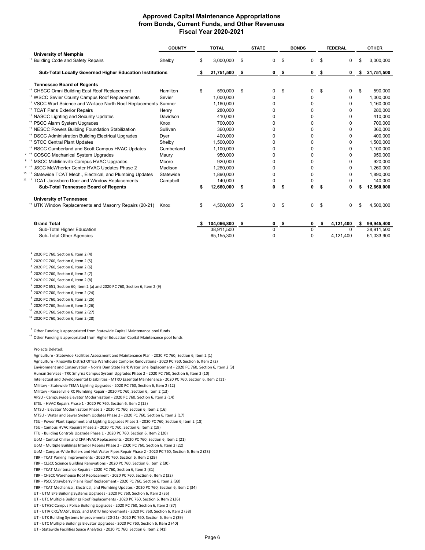### **Approved Capital Maintenance Appropriations from Bonds, Current Funds, and Other Revenues Fiscal Year 2020-2021**

|                                                                            | <b>COUNTY</b> | <b>TOTAL</b>    |     | <b>STATE</b> |                | <b>BONDS</b>   |      | <b>FEDERAL</b> |     | <b>OTHER</b> |
|----------------------------------------------------------------------------|---------------|-----------------|-----|--------------|----------------|----------------|------|----------------|-----|--------------|
| <b>University of Memphis</b>                                               |               |                 |     |              |                |                |      |                |     |              |
| <sup>**</sup> Building Code and Safety Repairs                             | Shelby        | \$<br>3,000,000 | \$  | 0            | \$             | 0              | \$   | 0              | \$. | 3,000,000    |
| Sub-Total Locally Governed Higher Education Institutions                   |               | 21,751,500      | -\$ |              | 0 <sup>5</sup> | 0 <sup>5</sup> |      | 0              | \$  | 21,751,500   |
| <b>Tennessee Board of Regents</b>                                          |               |                 |     |              |                |                |      |                |     |              |
| <sup>**</sup> CHSCC Omni Building East Roof Replacement                    | Hamilton      | \$<br>590.000   | \$  | $\Omega$     | \$             | 0              | \$   | 0              | \$  | 590.000      |
| <sup>**</sup> WSCC Sevier County Campus Roof Replacements                  | Sevier        | 1,000,000       |     | $\Omega$     |                | 0              |      | 0              |     | 1,000,000    |
| <sup>**</sup> VSCC Warf Science and Wallace North Roof Replacements Sumner |               | 1,160,000       |     | <sup>0</sup> |                | O              |      | 0              |     | 1,160,000    |
| <sup>**</sup> TCAT Paris Exterior Repairs                                  | Henry         | 280,000         |     | <sup>0</sup> |                | 0              |      | 0              |     | 280,000      |
| <sup>**</sup> NASCC Lighting and Security Updates                          | Davidson      | 410,000         |     | $\Omega$     |                | 0              |      | 0              |     | 410,000      |
| <sup>**</sup> PSCC Alarm System Upgrades                                   | Knox          | 700,000         |     | <sup>0</sup> |                | 0              |      | 0              |     | 700,000      |
| <sup>**</sup> NESCC Powers Building Foundation Stabilization               | Sullivan      | 360.000         |     | <sup>0</sup> |                | 0              |      | 0              |     | 360,000      |
| <sup>**</sup> DSCC Administration Building Electrical Upgrades             | Dyer          | 400,000         |     | $\Omega$     |                | 0              |      | 0              |     | 400,000      |
| <sup>**</sup> STCC Central Plant Updates                                   | Shelby        | 1,500,000       |     | $\Omega$     |                | 0              |      | 0              |     | 1,500,000    |
| <sup>**</sup> RSCC Cumberland and Scott Campus HVAC Updates                | Cumberland    | 1,100,000       |     | <sup>0</sup> |                | <sup>0</sup>   |      | 0              |     | 1,100,000    |
| <sup>7</sup> <sup>++</sup> COSCC Mechanical System Upgrades                | Maury         | 950,000         |     | <sup>0</sup> |                | 0              |      | 0              |     | 950,000      |
| 8 <sup>#</sup> MSCC McMinnville Campus HVAC Upgrades                       | Moore         | 920,000         |     | $\Omega$     |                | 0              |      | 0              |     | 920,000      |
| <sup>9</sup> <sup>++</sup> JSCC McWherter Center HVAC Updates Phase 2      | Madison       | 1,260,000       |     | $\Omega$     |                | 0              |      | 0              |     | 1,260,000    |
| 10 ††<br>Statewide TCAT Mech., Electrical, and Plumbing Updates            | Statewide     | 1,890,000       |     | $\Omega$     |                | 0              |      | 0              |     | 1,890,000    |
| <b>TCAT Jacksboro Door and Window Replacements</b>                         | Campbell      | 140,000         |     | 0            |                | 0              |      | 0              |     | 140.000      |
| Sub-Total Tennessee Board of Regents                                       |               | 12,660,000      | \$  | 0            | \$             | 0              | \$   | 0              |     | 12,660,000   |
| <b>University of Tennessee</b>                                             |               |                 |     |              |                |                |      |                |     |              |
| <sup>**</sup> UTK Window Replacements and Masonry Repairs (20-21)          | Knox          | \$<br>4.500.000 | \$  | 0            | S.             | 0              | \$   | 0              | \$  | 4,500,000    |
| <b>Grand Total</b>                                                         |               | 104,066,800     | \$  | 0            | - \$           | 0              | - \$ | 4,121,400      | s   | 99,945,400   |
| Sub-Total Higher Education                                                 |               | 38.911.500      |     | $\Omega$     |                | $\Omega$       |      | $\Omega$       |     | 38,911,500   |
| Sub-Total Other Agencies                                                   |               | 65,155,300      |     | $\Omega$     |                | 0              |      | 4,121,400      |     | 61,033,900   |
| $1$ 2020 PC 760, Section 6, Item 2 (4)                                     |               |                 |     |              |                |                |      |                |     |              |

<sup>11</sup> 2020 PC 760, Section 6, Item 2 (28)

 2020 PC 760, Section 6, Item 2 (5) 2020 PC 760, Section 6, Item 2 (6) 2020 PC 760, Section 6, Item 2 (7) 2020 PC 760, Section 6, Item 2 (8)

 2020 PC 760, Section 6, Item 2 (24) 2020 PC 760, Section 6, Item 2 (25) 2020 PC 760, Section 6, Item 2 (26) 2020 PC 760, Section 6, Item 2 (27)

 $^{\dagger}$  Other Funding is appropriated from Statewide Capital Maintenance pool funds

<sup>6</sup> 2020 PC 651, Section 60, Item 2 (a) and 2020 PC 760, Section 6, Item 2 (9)

 $^{++}$  Other Funding is appropriated from Higher Education Capital Maintenance pool funds

Projects Deleted:

| Agriculture - Statewide Facilities Assessment and Maintenance Plan - 2020 PC 760, Section 6, Item 2 (1)          |
|------------------------------------------------------------------------------------------------------------------|
| Agriculture - Knoxville District Office Warehouse Complex Renovations - 2020 PC 760, Section 6, Item 2 (2)       |
| Environment and Conservation - Norris Dam State Park Water Line Replacement - 2020 PC 760, Section 6, Item 2 (3) |
| Human Services - TRC Smyrna Campus System Upgrades Phase 2 - 2020 PC 760, Section 6, Item 2 (10)                 |
| Intellectual and Developmental Disabilities - MTRO Essential Maintenance - 2020 PC 760, Section 6, Item 2 (11)   |
| Military - Statewide TEMA Lighting Upgrades - 2020 PC 760, Section 6, Item 2 (12)                                |
| Military - Russellville RC Plumbing Repair - 2020 PC 760, Section 6, Item 2 (13)                                 |
| APSU - Campuswide Elevator Modernization - 2020 PC 760, Section 6, Item 2 (14)                                   |
| ETSU - HVAC Repairs Phase 1 - 2020 PC 760, Section 6, Item 2 (15)                                                |
| MTSU - Elevator Modernization Phase 3 - 2020 PC 760, Section 6, Item 2 (16)                                      |
| MTSU - Water and Sewer System Updates Phase 2 - 2020 PC 760, Section 6, Item 2 (17)                              |
| TSU - Power Plant Equipment and Lighting Upgrades Phase 2 - 2020 PC 760, Section 6, Item 2 (18)                  |
| TSU - Campus HVAC Repairs Phase 2 - 2020 PC 760, Section 6, Item 2 (19)                                          |
| TTU - Building Controls Upgrade Phase 1 - 2020 PC 760, Section 6, Item 2 (20)                                    |
| UoM - Central Chiller and CFA HVAC Replacements - 2020 PC 760, Section 6, Item 2 (21)                            |
| UoM - Multiple Buildings Interior Repairs Phase 2 - 2020 PC 760, Section 6, Item 2 (22)                          |
| UoM - Campus-Wide Boilers and Hot Water Pipes Repair Phase 2 - 2020 PC 760, Section 6, Item 2 (23)               |
| TBR - TCAT Parking Improvements - 2020 PC 760, Section 6, Item 2 (29)                                            |
| TBR - CLSCC Science Building Renovations - 2020 PC 760, Section 6, Item 2 (30)                                   |
| TBR - TCAT Maintenance Repairs - 2020 PC 760, Section 6, Item 2 (31)                                             |
| TBR - CHSCC Warehouse Roof Replacement - 2020 PC 760, Section 6, Item 2 (32)                                     |
| TBR - PSCC Strawberry Plains Roof Replacement - 2020 PC 760, Section 6, Item 2 (33)                              |
| TBR - TCAT Mechanical, Electrical, and Plumbing Updates - 2020 PC 760, Section 6, Item 2 (34)                    |
| UT - UTM EPS Building Systems Upgrades - 2020 PC 760, Section 6, Item 2 (35)                                     |
| UT - UTC Multiple Buildings Roof Replacements - 2020 PC 760, Section 6, Item 2 (36)                              |
| UT - UTHSC Campus Police Building Upgrades - 2020 PC 760, Section 6, Item 2 (37)                                 |
| UT - UTIA CRC/MAST, BESS, and JARTU Improvements - 2020 PC 760, Section 6, Item 2 (38)                           |
| UT - UTK Building Systems Improvements (20-21) - 2020 PC 760, Section 6, Item 2 (39)                             |
| UT - UTC Multiple Buildings Elevator Upgrades - 2020 PC 760, Section 6, Item 2 (40)                              |

UT - Statewide Facilities Space Analytics - 2020 PC 760, Section 6, Item 2 (41)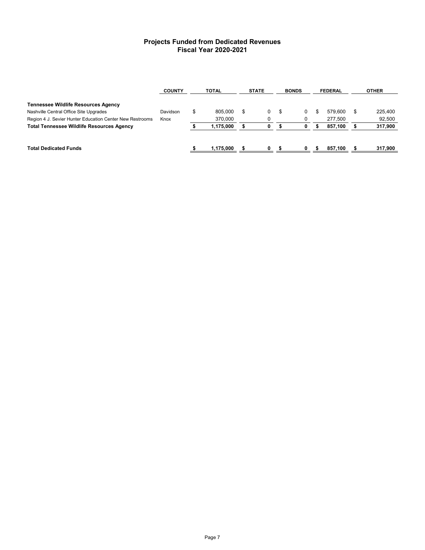# **Projects Funded from Dedicated Revenues Fiscal Year 2020-2021**

|                                                          | <b>COUNTY</b> | <b>TOTAL</b>  |    | <b>STATE</b>   |     | <b>BONDS</b> |  | <b>FEDERAL</b> |    | <b>OTHER</b> |
|----------------------------------------------------------|---------------|---------------|----|----------------|-----|--------------|--|----------------|----|--------------|
| <b>Tennessee Wildlife Resources Agency</b>               |               |               |    |                |     |              |  |                |    |              |
| Nashville Central Office Site Upgrades                   | Davidson      | \$<br>805.000 | \$ | $\overline{0}$ | \$. | 0            |  | 579.600        | \$ | 225,400      |
| Region 4 J. Sevier Hunter Education Center New Restrooms | Knox          | 370.000       |    |                |     | 0            |  | 277.500        |    | 92.500       |
| <b>Total Tennessee Wildlife Resources Agency</b>         |               | 1.175.000     |    | 0              |     | 0            |  | 857.100        |    | 317,900      |
|                                                          |               |               |    |                |     |              |  |                |    |              |
| <b>Total Dedicated Funds</b>                             |               | 1.175.000     |    | n.             |     | 0            |  | 857.100        |    | 317.900      |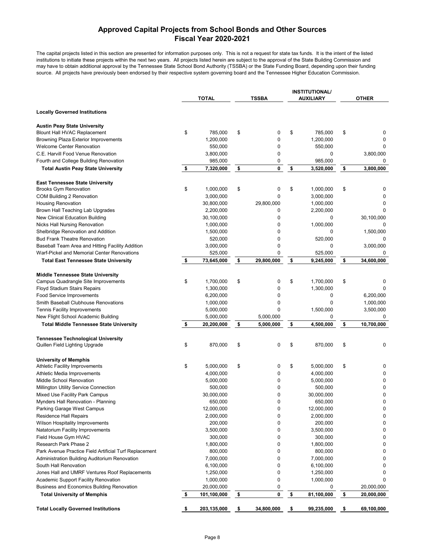# **Approved Capital Projects from School Bonds and Other Sources Fiscal Year 2020-2021**

**INSTITUTIONAL/**

The capital projects listed in this section are presented for information purposes only. This is not a request for state tax funds. It is the intent of the listed institutions to initiate these projects within the next two years. All projects listed herein are subject to the approval of the State Building Commission and may have to obtain additional approval by the Tennessee State School Bond Authority (TSSBA) or the State Funding Board, depending upon their funding source. All projects have previously been endorsed by their respective system governing board and the Tennessee Higher Education Commission.

|                                                                             | <b>TOTAL</b>      | <b>TSSBA</b>     | INSIIIUIIUNAL<br><b>AUXILIARY</b> | <b>OTHER</b>     |
|-----------------------------------------------------------------------------|-------------------|------------------|-----------------------------------|------------------|
| <b>Locally Governed Institutions</b>                                        |                   |                  |                                   |                  |
| <b>Austin Peay State University</b>                                         |                   |                  |                                   |                  |
| <b>Blount Hall HVAC Replacement</b>                                         | \$<br>785,000     | \$<br>0          | \$<br>785,000                     | \$<br>0          |
| <b>Browning Plaza Exterior Improvements</b>                                 | 1,200,000         | 0                | 1,200,000                         |                  |
| <b>Welcome Center Renovation</b>                                            | 550,000           | 0                | 550,000                           | 0                |
| C.E. Harvill Food Venue Renovation                                          | 3,800,000         | 0                | 0                                 | 3,800,000        |
| Fourth and College Building Renovation                                      | 985,000           | 0                | 985,000                           | 0                |
| <b>Total Austin Peay State University</b>                                   | \$<br>7,320,000   | \$<br>0          | \$<br>3,520,000                   | \$<br>3,800,000  |
| <b>East Tennessee State University</b>                                      |                   |                  |                                   |                  |
| <b>Brooks Gym Renovation</b>                                                | \$<br>1,000,000   | \$<br>0          | \$<br>1,000,000                   | \$<br>0          |
| COM Building 2 Renovation                                                   | 3,000,000         | 0                | 3,000,000                         | 0                |
| <b>Housing Renovation</b>                                                   | 30,800,000        | 29,800,000       | 1,000,000                         | 0                |
| Brown Hall Teaching Lab Upgrades                                            | 2,200,000         | 0                | 2,200,000                         |                  |
| New Clinical Education Building                                             | 30,100,000        | 0                | 0                                 | 30,100,000       |
| <b>Nicks Hall Nursing Renovation</b>                                        | 1,000,000         | 0                | 1,000,000                         | 0                |
| Shelbridge Renovation and Addition                                          | 1,500,000         | 0                | 0                                 | 1,500,000        |
| <b>Bud Frank Theatre Renovation</b>                                         | 520,000           | 0                | 520,000                           |                  |
| Baseball Team Area and Hitting Facility Addition                            | 3,000,000         | 0                | 0                                 | 3,000,000        |
| Warf-Pickel and Memorial Center Renovations                                 | 525,000           | 0                | 525,000                           | 0                |
| <b>Total East Tennessee State University</b>                                | \$<br>73,645,000  | \$<br>29,800,000 | \$<br>9,245,000                   | \$<br>34,600,000 |
| <b>Middle Tennessee State University</b>                                    |                   |                  |                                   |                  |
| Campus Quadrangle Site Improvements                                         | \$<br>1,700,000   | \$<br>0          | \$<br>1,700,000                   | \$<br>0          |
| <b>Floyd Stadium Stairs Repairs</b>                                         | 1,300,000         | 0                | 1,300,000                         | 0                |
| <b>Food Service Improvements</b>                                            | 6,200,000         | 0                | 0                                 | 6,200,000        |
| Smith Baseball Clubhouse Renovations                                        | 1,000,000         | 0                | 0                                 | 1,000,000        |
| Tennis Facility Improvements                                                | 5,000,000         | 0                | 1,500,000                         | 3,500,000        |
| New Flight School Academic Building                                         | 5,000,000         | 5,000,000        | 0                                 | 0                |
| <b>Total Middle Tennessee State University</b>                              | \$<br>20,200,000  | \$<br>5,000,000  | \$<br>4,500,000                   | \$<br>10,700,000 |
|                                                                             |                   |                  |                                   |                  |
| <b>Tennessee Technological University</b><br>Quillen Field Lighting Upgrade | \$<br>870,000     | \$<br>0          | \$<br>870,000                     | \$<br>0          |
|                                                                             |                   |                  |                                   |                  |
| <b>University of Memphis</b>                                                |                   |                  |                                   |                  |
| <b>Athletic Facility Improvements</b>                                       | \$<br>5,000,000   | \$<br>0          | \$<br>5,000,000                   | \$<br>0          |
| Athletic Media Improvements                                                 | 4,000,000         | 0                | 4,000,000                         | 0                |
| Middle School Renovation                                                    | 5,000,000         | 0                | 5,000,000                         | 0                |
| Millington Utility Service Connection                                       | 500,000           | 0                | 500,000                           | 0                |
| Mixed Use Facility Park Campus                                              | 30,000,000        | 0                | 30,000,000                        | 0                |
| Mynders Hall Renovation - Planning                                          | 650,000           | $\Omega$         | 650,000                           | 0                |
| Parking Garage West Campus                                                  | 12,000,000        | 0                | 12,000,000                        | 0                |
| <b>Residence Hall Repairs</b>                                               | 2,000,000         | 0                | 2,000,000                         | 0                |
| Wilson Hospitality Improvements                                             | 200,000           | 0                | 200,000                           | 0                |
| Natatorium Facility Improvements                                            | 3,500,000         | 0                | 3,500,000                         | 0                |
| Field House Gym HVAC                                                        | 300,000           | 0                | 300,000                           | 0                |
| Research Park Phase 2                                                       | 1,800,000         | 0                | 1,800,000                         | 0                |
| Park Avenue Practice Field Artificial Turf Replacement                      | 800,000           | 0                | 800,000                           | 0                |
| Administration Building Auditorium Renovation                               | 7,000,000         | 0                | 7,000,000                         | 0                |
| South Hall Renovation                                                       | 6,100,000         | 0                | 6,100,000                         | 0                |
| Jones Hall and UMRF Ventures Roof Replacements                              | 1,250,000         | 0                | 1,250,000                         | $\Omega$         |
| Academic Support Facility Renovation                                        | 1,000,000         | 0                | 1,000,000                         | 0                |
| Business and Economics Building Renovation                                  | 20,000,000        | 0                | 0                                 | 20,000,000       |
| <b>Total University of Memphis</b>                                          | \$<br>101,100,000 | \$<br>0          | \$<br>81,100,000                  | \$<br>20,000,000 |
| <b>Total Locally Governed Institutions</b>                                  | \$<br>203,135,000 | \$<br>34,800,000 | \$<br>99,235,000                  | \$<br>69,100,000 |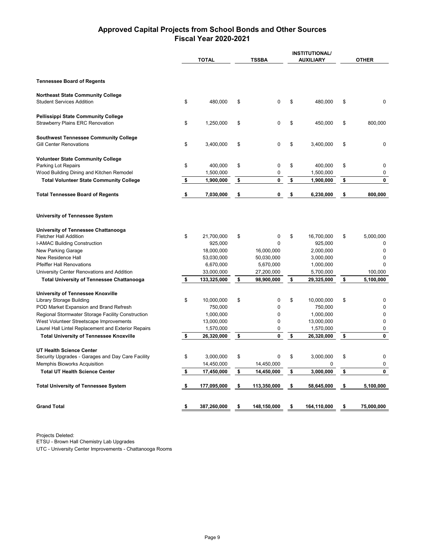# **Approved Capital Projects from School Bonds and Other Sources Fiscal Year 2020-2021**

|                                                                                |                   |                   | <b>INSTITUTIONAL/</b> |                  |  |  |
|--------------------------------------------------------------------------------|-------------------|-------------------|-----------------------|------------------|--|--|
|                                                                                | <b>TOTAL</b>      | <b>TSSBA</b>      | <b>AUXILIARY</b>      | <b>OTHER</b>     |  |  |
|                                                                                |                   |                   |                       |                  |  |  |
| <b>Tennessee Board of Regents</b>                                              |                   |                   |                       |                  |  |  |
| <b>Northeast State Community College</b><br><b>Student Services Addition</b>   | \$<br>480,000     | \$<br>0           | \$<br>480,000         | \$<br>0          |  |  |
| <b>Pellissippi State Community College</b><br>Strawberry Plains ERC Renovation | \$<br>1,250,000   | \$<br>0           | \$<br>450,000         | \$<br>800,000    |  |  |
| <b>Southwest Tennessee Community College</b><br><b>Gill Center Renovations</b> | \$<br>3,400,000   | \$<br>0           | \$<br>3,400,000       | \$<br>0          |  |  |
| <b>Volunteer State Community College</b><br>Parking Lot Repairs                | \$<br>400,000     | \$<br>0           | \$<br>400,000         | \$<br>0          |  |  |
| Wood Building Dining and Kitchen Remodel                                       | 1,500,000         | 0                 | 1,500,000             | 0                |  |  |
| <b>Total Volunteer State Community College</b>                                 | \$<br>1,900,000   | \$<br>0           | \$<br>1,900,000       | \$<br>0          |  |  |
| <b>Total Tennessee Board of Regents</b>                                        | \$<br>7,030,000   | \$<br>0           | \$<br>6,230,000       | \$<br>800,000    |  |  |
| <b>University of Tennessee System</b>                                          |                   |                   |                       |                  |  |  |
| University of Tennessee Chattanooga                                            |                   |                   |                       |                  |  |  |
| <b>Fletcher Hall Addition</b>                                                  | \$<br>21,700,000  | \$<br>0           | \$<br>16,700,000      | \$<br>5,000,000  |  |  |
| <b>I-AMAC Building Construction</b>                                            | 925,000           | $\Omega$          | 925,000               | 0                |  |  |
| New Parking Garage                                                             | 18,000,000        | 16,000,000        | 2,000,000             | $\mathbf 0$      |  |  |
| New Residence Hall                                                             | 53,030,000        | 50,030,000        | 3,000,000             | 0                |  |  |
| <b>Pfeiffer Hall Renovations</b>                                               | 6,670,000         | 5,670,000         | 1,000,000             | 0                |  |  |
| University Center Renovations and Addition                                     | 33,000,000        | 27,200,000        | 5,700,000             | 100,000          |  |  |
| <b>Total University of Tennessee Chattanooga</b>                               | \$<br>133,325,000 | \$<br>98,900,000  | \$<br>29,325,000      | \$<br>5,100,000  |  |  |
| <b>University of Tennessee Knoxville</b>                                       |                   |                   |                       |                  |  |  |
| Library Storage Building                                                       | \$<br>10,000,000  | \$<br>0           | \$<br>10,000,000      | \$<br>0          |  |  |
| POD Market Expansion and Brand Refresh                                         | 750,000           | 0                 | 750,000               | 0                |  |  |
| Regional Stormwater Storage Facility Construction                              | 1,000,000         | 0                 | 1,000,000             | $\mathbf 0$      |  |  |
| West Volunteer Streetscape Improvements                                        | 13,000,000        | 0                 | 13,000,000            | 0                |  |  |
| Laurel Hall Lintel Replacement and Exterior Repairs                            | 1,570,000         | 0                 | 1,570,000             | 0                |  |  |
| <b>Total University of Tennessee Knoxville</b>                                 | \$<br>26,320,000  | \$<br>0           | \$<br>26,320,000      | \$<br>0          |  |  |
| UT Health Science Center                                                       |                   |                   |                       |                  |  |  |
| Security Upgrades - Garages and Day Care Facility                              | \$<br>3,000,000   | \$<br>0           | \$<br>3,000,000       | \$<br>0          |  |  |
| Memphis Bioworks Acquisition                                                   | 14,450,000        | 14,450,000        | 0                     | 0                |  |  |
| <b>Total UT Health Science Center</b>                                          | \$<br>17,450,000  | \$<br>14,450,000  | \$<br>3,000,000       | \$<br>0          |  |  |
| <b>Total University of Tennessee System</b>                                    | \$<br>177,095,000 | \$<br>113,350,000 | \$<br>58,645,000      | \$<br>5,100,000  |  |  |
| <b>Grand Total</b>                                                             | \$<br>387,260,000 | \$<br>148,150,000 | \$<br>164,110,000     | \$<br>75,000,000 |  |  |
|                                                                                |                   |                   |                       |                  |  |  |

Projects Deleted: ETSU - Brown Hall Chemistry Lab Upgrades

UTC - University Center Improvements - Chattanooga Rooms